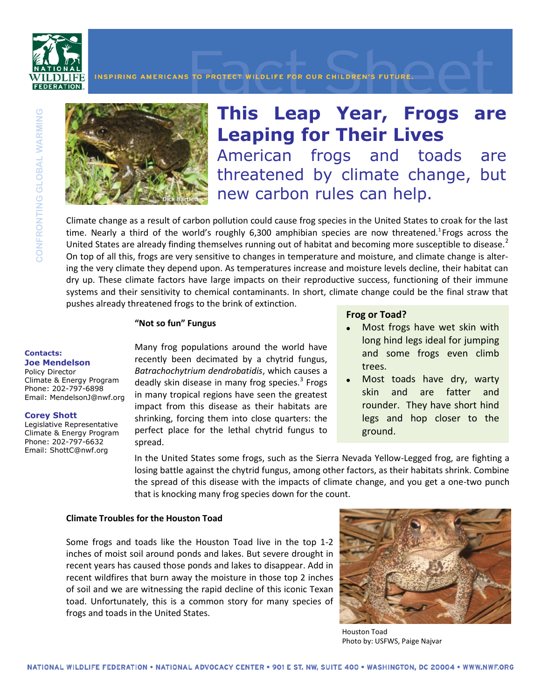

INSPIRING AMERICANS TO PROTECT WILDLIFE FOR OUR CHILDREN'S FUTURE.



**This Leap Year, Frogs are Leaping for Their Lives** American frogs and toads are threatened by climate change, but new carbon rules can help.

Climate change as a result of carbon pollution could cause frog species in the United States to croak for the last time. Nearly a third of the world's roughly  $6,300$  amphibian species are now threatened.<sup>1</sup>Frogs across the United States are already finding themselves running out of habitat and becoming more susceptible to disease.<sup>2</sup> On top of all this, frogs are very sensitive to changes in temperature and moisture, and climate change is altering the very climate they depend upon. As temperatures increase and moisture levels decline, their habitat can dry up. These climate factors have large impacts on their reproductive success, functioning of their immune systems and their sensitivity to chemical contaminants. In short, climate change could be the final straw that pushes already threatened frogs to the brink of extinction.

# **"Not so fun" Fungus**

#### **Contacts: Joe Mendelson**

Policy Director Climate & Energy Program Phone: 202-797-6898 Email: MendelsonJ@nwf.org

# **Corey Shott**

Legislative Representative Climate & Energy Program Phone: 202-797-6632 Email: ShottC@nwf.org

Many frog populations around the world have recently been decimated by a chytrid fungus, *Batrachochytrium dendrobatidis*, which causes a deadly skin disease in many frog species.<sup>3</sup> Frogs in many tropical regions have seen the greatest impact from this disease as their habitats are shrinking, forcing them into close quarters: the perfect place for the lethal chytrid fungus to spread.

# **Frog or Toad?**

- Most frogs have wet skin with long hind legs ideal for jumping and some frogs even climb trees.
- Most toads have dry, warty skin and are fatter and rounder. They have short hind legs and hop closer to the ground.

In the United States some frogs, such as the Sierra Nevada Yellow-Legged frog, are fighting a losing battle against the chytrid fungus, among other factors, as their habitats shrink. Combine the spread of this disease with the impacts of climate change, and you get a one-two punch that is knocking many frog species down for the count.

# **Climate Troubles for the Houston Toad**

Some frogs and toads like the Houston Toad live in the top 1-2 inches of moist soil around ponds and lakes. But severe drought in recent years has caused those ponds and lakes to disappear. Add in recent wildfires that burn away the moisture in those top 2 inches of soil and we are witnessing the rapid decline of this iconic Texan toad. Unfortunately, this is a common story for many species of frogs and toads in the United States.



Houston Toad Photo by: USFWS, Paige Najvar